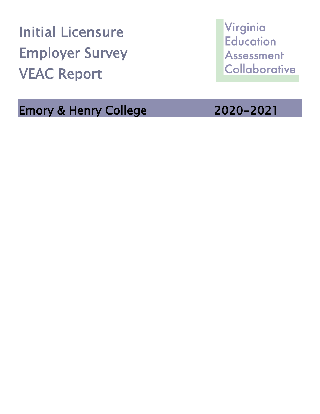Initial Licensure Employer Survey VEAC Report

# Emory & Henry College 2020-2021

Virginia **Education** Assessment Collaborative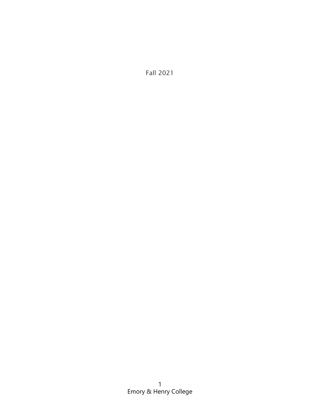Fall 2021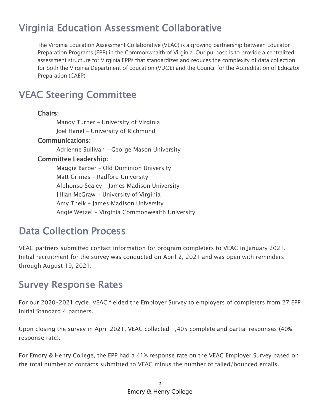# Virginia Education Assessment Collaborative

The Virginia Education Assessment Collaborative (VEAC) is a growing partnership between Educator Preparation Programs (EPP) in the Commonwealth of Virginia. Our purpose is to provide a centralized assessment structure for Virginia EPPs that standardizes and reduces the complexity of data collection for both the Virginia Department of Education (VDOE) and the Council for the Accreditation of Educator Preparation (CAEP).

## VEAC Steering Committee

#### Chairs:

Mandy Turner – University of Virginia Joel Hanel – University of Richmond

#### Communications:

Adrienne Sullivan – George Mason University

### Committee Leadership:

Maggie Barber – Old Dominion University Matt Grimes – Radford University Alphonso Sealey – James Madison University Jillian McGraw - University of Virginia Amy Thelk – James Madison University Angie Wetzel – Virginia Commonwealth University

### Data Collection Process

VEAC partners submitted contact information for program completers to VEAC in January 2021. Initial recruitment for the survey was conducted on April 2, 2021 and was open with reminders through August 19, 2021.

### Survey Response Rates

For our 2020-2021 cycle, VEAC fielded the Employer Survey to employers of completers from 27 EPP Initial Standard 4 partners.

Upon closing the survey in April 2021, VEAC collected 1,405 complete and partial responses (40% response rate).

For Emory & Henry College, the EPP had a 41% response rate on the VEAC Employer Survey based on the total number of contacts submitted to VEAC minus the number of failed/bounced emails.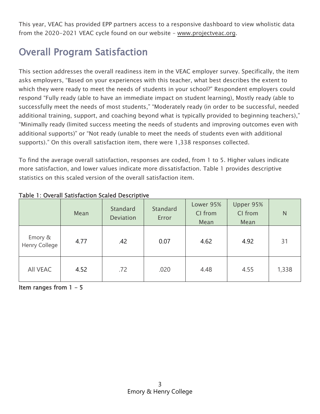This year, VEAC has provided EPP partners access to a responsive dashboard to view wholistic data from the 2020-2021 VEAC cycle found on our website – [www.projectveac.org.](https://projectveac.org/)

# Overall Program Satisfaction

This section addresses the overall readiness item in the VEAC employer survey. Specifically, the item asks employers, "Based on your experiences with this teacher, what best describes the extent to which they were ready to meet the needs of students in your school?" Respondent employers could respond "Fully ready (able to have an immediate impact on student learning), Mostly ready (able to successfully meet the needs of most students," "Moderately ready (in order to be successful, needed additional training, support, and coaching beyond what is typically provided to beginning teachers)," "Minimally ready (limited success meeting the needs of students and improving outcomes even with additional supports)" or "Not ready (unable to meet the needs of students even with additional supports)." On this overall satisfaction item, there were 1,338 responses collected.

To find the average overall satisfaction, responses are coded, from 1 to 5. Higher values indicate more satisfaction, and lower values indicate more dissatisfaction. Table 1 provides descriptive statistics on this scaled version of the overall satisfaction item.

|                          | Mean | Standard<br><b>Deviation</b> | Standard<br>Error | Lower 95%<br>CI from<br>Mean | Upper 95%<br>CI from<br>Mean | N     |
|--------------------------|------|------------------------------|-------------------|------------------------------|------------------------------|-------|
| Emory &<br>Henry College | 4.77 | .42                          | 0.07              | 4.62                         | 4.92                         | 31    |
| All VEAC                 | 4.52 | .72                          | .020              | 4.48                         | 4.55                         | 1,338 |

### Table 1: Overall Satisfaction Scaled Descriptive

Item ranges from  $1 - 5$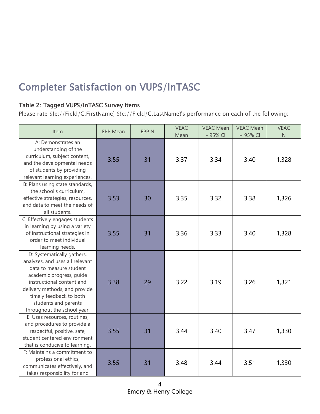# Completer Satisfaction on VUPS/InTASC

### Table 2: Tagged VUPS/InTASC Survey Items

Please rate \${e://Field/C.FirstName} \${e://Field/C.LastName}'s performance on each of the following:

| Item                                                                                                                                                                                                                                                                 | <b>EPP Mean</b> | <b>EPP N</b> | <b>VEAC</b><br>Mean | <b>VEAC Mean</b><br>- 95% CI | <b>VEAC Mean</b><br>+ 95% CI | <b>VEAC</b><br>$\mathsf N$ |
|----------------------------------------------------------------------------------------------------------------------------------------------------------------------------------------------------------------------------------------------------------------------|-----------------|--------------|---------------------|------------------------------|------------------------------|----------------------------|
| A: Demonstrates an<br>understanding of the<br>curriculum, subject content,<br>and the developmental needs<br>of students by providing<br>relevant learning experiences.                                                                                              | 3.55            | 31           | 3.37                | 3.34                         | 3.40                         | 1,328                      |
| B: Plans using state standards,<br>the school's curriculum,<br>effective strategies, resources,<br>and data to meet the needs of<br>all students.                                                                                                                    | 3.53            | 30           | 3.35                | 3.32                         | 3.38                         | 1,326                      |
| C: Effectively engages students<br>in learning by using a variety<br>of instructional strategies in<br>order to meet individual<br>learning needs.                                                                                                                   | 3.55            | 31           | 3.36                | 3.33                         | 3.40                         | 1,328                      |
| D: Systematically gathers,<br>analyzes, and uses all relevant<br>data to measure student<br>academic progress, guide<br>instructional content and<br>delivery methods, and provide<br>timely feedback to both<br>students and parents<br>throughout the school year. | 3.38            | 29           | 3.22                | 3.19                         | 3.26                         | 1,321                      |
| E: Uses resources, routines,<br>and procedures to provide a<br>respectful, positive, safe,<br>student centered environment<br>that is conducive to learning.                                                                                                         | 3.55            | 31           | 3.44                | 3.40                         | 3.47                         | 1,330                      |
| F: Maintains a commitment to<br>professional ethics,<br>communicates effectively, and<br>takes responsibility for and                                                                                                                                                | 3.55            | 31           | 3.48                | 3.44                         | 3.51                         | 1,330                      |